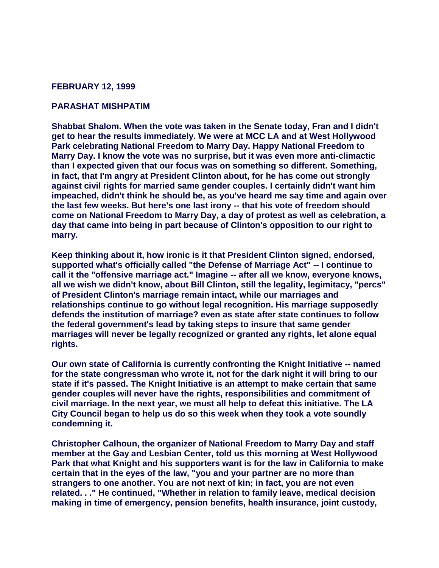## **FEBRUARY 12, 1999**

## **PARASHAT MISHPATIM**

**Shabbat Shalom. When the vote was taken in the Senate today, Fran and I didn't get to hear the results immediately. We were at MCC LA and at West Hollywood Park celebrating National Freedom to Marry Day. Happy National Freedom to Marry Day. I know the vote was no surprise, but it was even more anti-climactic than I expected given that our focus was on something so different. Something, in fact, that I'm angry at President Clinton about, for he has come out strongly against civil rights for married same gender couples. I certainly didn't want him impeached, didn't think he should be, as you've heard me say time and again over the last few weeks. But here's one last irony -- that his vote of freedom should come on National Freedom to Marry Day, a day of protest as well as celebration, a day that came into being in part because of Clinton's opposition to our right to marry.** 

**Keep thinking about it, how ironic is it that President Clinton signed, endorsed, supported what's officially called "the Defense of Marriage Act" -- I continue to call it the "offensive marriage act." Imagine -- after all we know, everyone knows, all we wish we didn't know, about Bill Clinton, still the legality, legimitacy, "percs" of President Clinton's marriage remain intact, while our marriages and relationships continue to go without legal recognition. His marriage supposedly defends the institution of marriage? even as state after state continues to follow the federal government's lead by taking steps to insure that same gender marriages will never be legally recognized or granted any rights, let alone equal rights.** 

**Our own state of California is currently confronting the Knight Initiative -- named for the state congressman who wrote it, not for the dark night it will bring to our state if it's passed. The Knight Initiative is an attempt to make certain that same gender couples will never have the rights, responsibilities and commitment of civil marriage. In the next year, we must all help to defeat this initiative. The LA City Council began to help us do so this week when they took a vote soundly condemning it.** 

**Christopher Calhoun, the organizer of National Freedom to Marry Day and staff member at the Gay and Lesbian Center, told us this morning at West Hollywood Park that what Knight and his supporters want is for the law in California to make certain that in the eyes of the law, "you and your partner are no more than strangers to one another. You are not next of kin; in fact, you are not even related. . ." He continued, "Whether in relation to family leave, medical decision making in time of emergency, pension benefits, health insurance, joint custody,**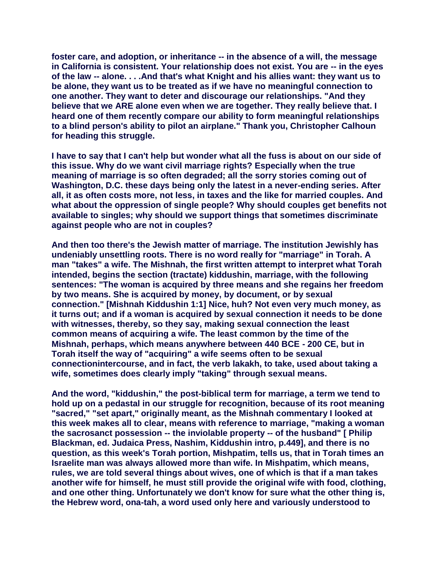**foster care, and adoption, or inheritance -- in the absence of a will, the message in California is consistent. Your relationship does not exist. You are -- in the eyes of the law -- alone. . . .And that's what Knight and his allies want: they want us to be alone, they want us to be treated as if we have no meaningful connection to one another. They want to deter and discourage our relationships. "And they believe that we ARE alone even when we are together. They really believe that. I heard one of them recently compare our ability to form meaningful relationships to a blind person's ability to pilot an airplane." Thank you, Christopher Calhoun for heading this struggle.** 

**I have to say that I can't help but wonder what all the fuss is about on our side of this issue. Why do we want civil marriage rights? Especially when the true meaning of marriage is so often degraded; all the sorry stories coming out of Washington, D.C. these days being only the latest in a never-ending series. After all, it as often costs more, not less, in taxes and the like for married couples. And what about the oppression of single people? Why should couples get benefits not available to singles; why should we support things that sometimes discriminate against people who are not in couples?** 

**And then too there's the Jewish matter of marriage. The institution Jewishly has undeniably unsettling roots. There is no word really for "marriage" in Torah. A man "takes" a wife. The Mishnah, the first written attempt to interpret what Torah intended, begins the section (tractate) kiddushin, marriage, with the following sentences: "The woman is acquired by three means and she regains her freedom by two means. She is acquired by money, by document, or by sexual connection." [Mishnah Kiddushin 1:1] Nice, huh? Not even very much money, as it turns out; and if a woman is acquired by sexual connection it needs to be done with witnesses, thereby, so they say, making sexual connection the least common means of acquiring a wife. The least common by the time of the Mishnah, perhaps, which means anywhere between 440 BCE - 200 CE, but in Torah itself the way of "acquiring" a wife seems often to be sexual connectionintercourse, and in fact, the verb lakakh, to take, used about taking a wife, sometimes does clearly imply "taking" through sexual means.** 

**And the word, "kiddushin," the post-biblical term for marriage, a term we tend to hold up on a pedastal in our struggle for recognition, because of its root meaning "sacred," "set apart," originally meant, as the Mishnah commentary I looked at this week makes all to clear, means with reference to marriage, "making a woman the sacrosanct possession -- the inviolable property -- of the husband" [ Philip Blackman, ed. Judaica Press, Nashim, Kiddushin intro, p.449], and there is no question, as this week's Torah portion, Mishpatim, tells us, that in Torah times an Israelite man was always allowed more than wife. In Mishpatim, which means, rules, we are told several things about wives, one of which is that if a man takes another wife for himself, he must still provide the original wife with food, clothing, and one other thing. Unfortunately we don't know for sure what the other thing is, the Hebrew word, ona-tah, a word used only here and variously understood to**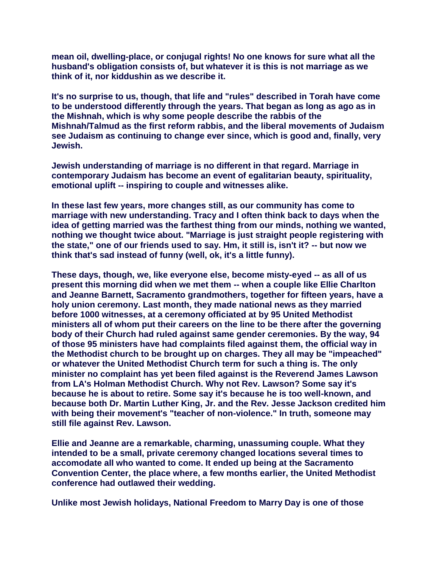**mean oil, dwelling-place, or conjugal rights! No one knows for sure what all the husband's obligation consists of, but whatever it is this is not marriage as we think of it, nor kiddushin as we describe it.** 

**It's no surprise to us, though, that life and "rules" described in Torah have come to be understood differently through the years. That began as long as ago as in the Mishnah, which is why some people describe the rabbis of the Mishnah/Talmud as the first reform rabbis, and the liberal movements of Judaism see Judaism as continuing to change ever since, which is good and, finally, very Jewish.** 

**Jewish understanding of marriage is no different in that regard. Marriage in contemporary Judaism has become an event of egalitarian beauty, spirituality, emotional uplift -- inspiring to couple and witnesses alike.** 

**In these last few years, more changes still, as our community has come to marriage with new understanding. Tracy and I often think back to days when the idea of getting married was the farthest thing from our minds, nothing we wanted, nothing we thought twice about. "Marriage is just straight people registering with the state," one of our friends used to say. Hm, it still is, isn't it? -- but now we think that's sad instead of funny (well, ok, it's a little funny).** 

**These days, though, we, like everyone else, become misty-eyed -- as all of us present this morning did when we met them -- when a couple like Ellie Charlton and Jeanne Barnett, Sacramento grandmothers, together for fifteen years, have a holy union ceremony. Last month, they made national news as they married before 1000 witnesses, at a ceremony officiated at by 95 United Methodist ministers all of whom put their careers on the line to be there after the governing body of their Church had ruled against same gender ceremonies. By the way, 94 of those 95 ministers have had complaints filed against them, the official way in the Methodist church to be brought up on charges. They all may be "impeached" or whatever the United Methodist Church term for such a thing is. The only minister no complaint has yet been filed against is the Reverend James Lawson from LA's Holman Methodist Church. Why not Rev. Lawson? Some say it's because he is about to retire. Some say it's because he is too well-known, and because both Dr. Martin Luther King, Jr. and the Rev. Jesse Jackson credited him with being their movement's "teacher of non-violence." In truth, someone may still file against Rev. Lawson.** 

**Ellie and Jeanne are a remarkable, charming, unassuming couple. What they intended to be a small, private ceremony changed locations several times to accomodate all who wanted to come. It ended up being at the Sacramento Convention Center, the place where, a few months earlier, the United Methodist conference had outlawed their wedding.** 

**Unlike most Jewish holidays, National Freedom to Marry Day is one of those**